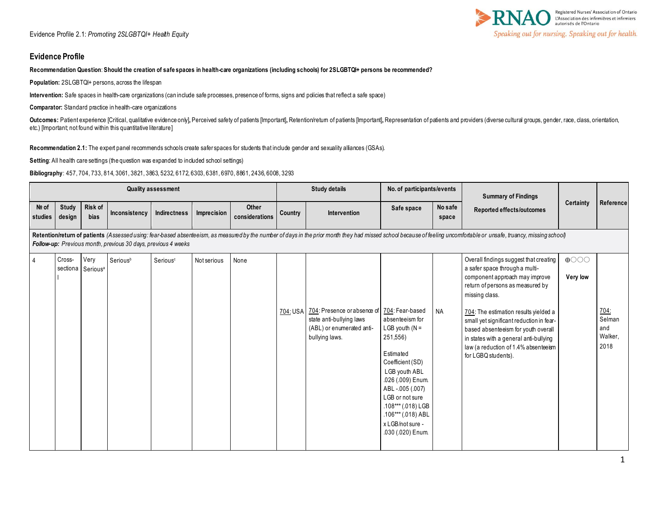#### **Evidence Profile**

#### **Recommendation Question**: **Should the creation of safe spaces in health-care organizations (including schools) for 2SLGBTQI+ persons be recommended?**

**Population:** 2SLGBTQI+ persons, across the lifespan

**Intervention:** Safe spaces in health-care organizations (can include safe processes, presence of forms, signs and policies that reflect a safe space)

**Comparator:** Standard practice in health-care organizations

Outcomes: Patient experience [Critical, qualitative evidence only], Perceived safety of patients [Important], Retention/retum of patients [Important], Representation of patients and providers (diverse cultural groups, gend etc.) [Important; not found within this quantitative literature]

**Recommendation 2.1:** The expert panel recommends schools create safer spaces for students that include gender and sexuality alliances (GSAs).

**Setting**: All health care settings (the question was expanded to included school settings)

**Bibliography**: 457, 704, 733, 814, 3061, 3821, 3863, 5232, 6172, 6303, 6381, 6970, 8861, 2436, 6008, 3293

|                  |                        |                                       |                                                               | <b>Quality assessment</b> |             |                         |         | <b>Study details</b>                                                                                                            | No. of participants/events                                                                                                                                                                                                                        |                  | <b>Summary of Findings</b>                                                                                                                                                                                                                                                                                                                                                                            |                         |                                                 |
|------------------|------------------------|---------------------------------------|---------------------------------------------------------------|---------------------------|-------------|-------------------------|---------|---------------------------------------------------------------------------------------------------------------------------------|---------------------------------------------------------------------------------------------------------------------------------------------------------------------------------------------------------------------------------------------------|------------------|-------------------------------------------------------------------------------------------------------------------------------------------------------------------------------------------------------------------------------------------------------------------------------------------------------------------------------------------------------------------------------------------------------|-------------------------|-------------------------------------------------|
| Nº of<br>studies | <b>Study</b><br>design | Risk of<br>bias                       | Inconsistency                                                 | Indirectness              | Imprecision | Other<br>considerations | Country | Intervention                                                                                                                    | Safe space                                                                                                                                                                                                                                        | No safe<br>space | Reported effects/outcomes                                                                                                                                                                                                                                                                                                                                                                             | Certainty               | Reference                                       |
|                  |                        |                                       | Follow-up: Previous month, previous 30 days, previous 4 weeks |                           |             |                         |         |                                                                                                                                 |                                                                                                                                                                                                                                                   |                  | Retention/return of patients (Assessed using: fear-based absenteeism, as measured by the number of days in the prior month they had missed school because of feeling uncomfortable or unsafe, truancy, missing school)                                                                                                                                                                                |                         |                                                 |
| $\overline{4}$   | Cross-                 | Very<br>sectiona Serious <sup>a</sup> | Seriousb                                                      | Serious <sup>c</sup>      | Not serious | None                    |         | 704: USA 704: Presence or absence of 704: Fear-based<br>state anti-bullying laws<br>(ABL) or enumerated anti-<br>bullying laws. | absenteeism for<br>LGB youth $(N =$<br>251,556)<br>Estimated<br>Coefficient (SD)<br>LGB youth ABL<br>.026 (.009) Enum.<br>ABL-.005 (.007)<br>LGB or not sure<br>.108*** (.018) LGB<br>.106*** (.018) ABL<br>x LGB/not sure -<br>.030 (.020) Enum. | <b>NA</b>        | Overall findings suggest that creating<br>a safer space through a multi-<br>component approach may improve<br>return of persons as measured by<br>missing class.<br>704: The estimation results yielded a<br>small yet significant reduction in fear-<br>based absenteeism for youth overall<br>in states with a general anti-bullying<br>law (a reduction of 1.4% absenteeism<br>for LGBQ students). | $\bigoplus$<br>Very low | <u>704:</u><br>Selman<br>and<br>Walker,<br>2018 |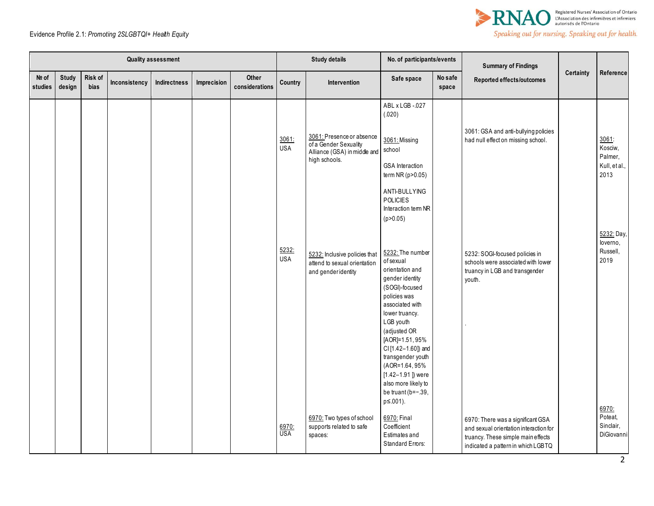



|                  |                        |                 |               | <b>Quality assessment</b> |             |                         |                     | <b>Study details</b>                                                                | No. of participants/events                                                                                                                                                                                                                                                                                                                 |                  | <b>Summary of Findings</b>                                                                                                                              |           |                                             |
|------------------|------------------------|-----------------|---------------|---------------------------|-------------|-------------------------|---------------------|-------------------------------------------------------------------------------------|--------------------------------------------------------------------------------------------------------------------------------------------------------------------------------------------------------------------------------------------------------------------------------------------------------------------------------------------|------------------|---------------------------------------------------------------------------------------------------------------------------------------------------------|-----------|---------------------------------------------|
| Nº of<br>studies | <b>Study</b><br>design | Risk of<br>bias | Inconsistency | Indirectness              | Imprecision | Other<br>considerations | Country             | Intervention                                                                        | Safe space                                                                                                                                                                                                                                                                                                                                 | No safe<br>space | Reported effects/outcomes                                                                                                                               | Certainty | Reference                                   |
|                  |                        |                 |               |                           |             |                         | 3061:<br><b>USA</b> | 3061: Presence or absence<br>of a Gender Sexuality<br>Alliance (GSA) in middle and  | ABL x LGB -.027<br>(.020)<br>3061: Missing<br>school                                                                                                                                                                                                                                                                                       |                  | 3061: GSA and anti-bullying policies<br>had null effect on missing school.                                                                              |           | 3061:<br>Kosciw,<br>Palmer,                 |
|                  |                        |                 |               |                           |             |                         |                     | high schools.                                                                       | <b>GSA</b> Interaction<br>term NR (p>0.05)<br>ANTI-BULLYING<br><b>POLICIES</b><br>Interaction tem NR<br>(p > 0.05)                                                                                                                                                                                                                         |                  |                                                                                                                                                         |           | Kull, et al.,<br>2013                       |
|                  |                        |                 |               |                           |             |                         | 5232:<br><b>USA</b> | 5232: Inclusive policies that<br>attend to sexual orientation<br>and genderidentity | 5232: The number<br>of sexual<br>orientation and<br>gender identity<br>(SOGI)-focused<br>policies was<br>associated with<br>lower truancy.<br>LGB youth<br>(adjusted OR<br>[AOR]=1.51,95%<br>CI [1.42-1.60]) and<br>transgender youth<br>(AOR=1.64, 95%<br>$[1.42 - 1.91]$ ) were<br>also more likely to<br>be truant (b=-.39,<br>p≤.001). |                  | 5232: SOGI-focused policies in<br>schools were associated with lower<br>truancy in LGB and transgender<br>youth.                                        |           | 5232: Day,<br>loverno,<br>Russell,<br>2019  |
|                  |                        |                 |               |                           |             |                         | 6970:<br><b>USA</b> | 6970: Two types of school<br>supports related to safe<br>spaces:                    | 6970: Final<br>Coefficient<br>Estimates and<br>Standard Errors:                                                                                                                                                                                                                                                                            |                  | 6970: There was a significant GSA<br>and sexual orientation interaction for<br>truancy. These simple main effects<br>indicated a pattern in which LGBTQ |           | 6970:<br>Poteat.<br>Sinclair,<br>DiGiovanni |

2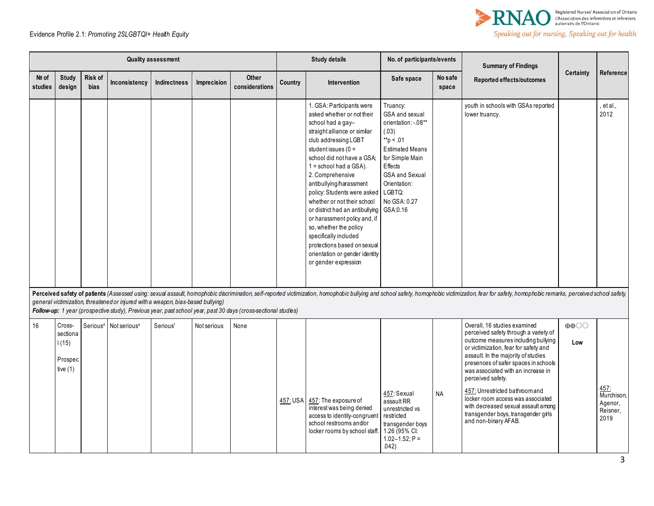

|                  |                                                      |                        |                                                                                  | <b>Quality assessment</b> |             |                                                                                                                |         | <b>Study details</b>                                                                                                                                                                                                                                                                                                                                                                                                                                                                                                                                                | No. of participants/events                                                                                                                                                                |                  | <b>Summary of Findings</b>                                                                                                                                                                                                                                                                                                                                                                                                                                                   |                                          |                                                   |
|------------------|------------------------------------------------------|------------------------|----------------------------------------------------------------------------------|---------------------------|-------------|----------------------------------------------------------------------------------------------------------------|---------|---------------------------------------------------------------------------------------------------------------------------------------------------------------------------------------------------------------------------------------------------------------------------------------------------------------------------------------------------------------------------------------------------------------------------------------------------------------------------------------------------------------------------------------------------------------------|-------------------------------------------------------------------------------------------------------------------------------------------------------------------------------------------|------------------|------------------------------------------------------------------------------------------------------------------------------------------------------------------------------------------------------------------------------------------------------------------------------------------------------------------------------------------------------------------------------------------------------------------------------------------------------------------------------|------------------------------------------|---------------------------------------------------|
| Nº of<br>studies | <b>Study</b><br>design                               | Risk of<br><b>bias</b> | Inconsistency                                                                    | <b>Indirectness</b>       | Imprecision | Other<br>considerations                                                                                        | Country | Intervention                                                                                                                                                                                                                                                                                                                                                                                                                                                                                                                                                        | Safe space                                                                                                                                                                                | No safe<br>space | <b>Reported effects/outcomes</b>                                                                                                                                                                                                                                                                                                                                                                                                                                             | Certainty                                | Reference                                         |
|                  |                                                      |                        |                                                                                  |                           |             |                                                                                                                |         | 1. GSA: Participants were<br>asked whether or not their<br>school had a gay-<br>straight alliance or similar<br>club addressing LGBT<br>student issues $(0 =$<br>school did not have a GSA;<br>$1 =$ school had a GSA).<br>2. Comprehensive<br>antibullying/harassment<br>policy: Students were asked LGBTQ:<br>whether or not their school<br>or district had an antibullying GSA:0.16<br>or harassment policy and, if<br>so, whether the policy<br>specifically included<br>protections based on sexual<br>orientation or gender identity<br>or gender expression | Truancy:<br>GSA and sexual<br>orientation: -. 08**<br>(.03)<br>**p < .01<br><b>Estimated Means</b><br>for Simple Main<br>Effects<br><b>GSA and Sexual</b><br>Orientation:<br>No GSA: 0.27 |                  | youth in schools with GSAs reported<br>lower truancy.                                                                                                                                                                                                                                                                                                                                                                                                                        |                                          | et al.,<br>2012                                   |
|                  |                                                      |                        | general victimization, threatened or injured with a weapon, bias-based bullying) |                           |             | Follow-up: 1 year (prospective study), Previous year, past school year, past 30 days (cross-sectional studies) |         |                                                                                                                                                                                                                                                                                                                                                                                                                                                                                                                                                                     |                                                                                                                                                                                           |                  | Perceived safety of patients (Assessed using: sexual assault, homophobic discrimination, self-reported victimization, homophobic bullying and school safety, homophobic victimization, fear for safety, homophobic remarks, pe                                                                                                                                                                                                                                               |                                          |                                                   |
| 16               | Cross-<br>sectiona<br>1(15)<br>Prospec<br>tive $(1)$ |                        | Serious <sup>d</sup> Not serious <sup>e</sup>                                    | Seriousf                  | Not serious | None                                                                                                           |         | 457: USA 457: The exposure of<br>interest was being denied<br>access to identity-congruen<br>school restrooms and/or<br>locker rooms by school staff                                                                                                                                                                                                                                                                                                                                                                                                                | 457: Sexual<br>assault RR<br>unrestricted vs<br>restricted<br>transgender boys<br>1.26 (95% CI:<br>$1.02 - 1.52$ ; P =<br>.042)                                                           | <b>NA</b>        | Overall, 16 studies examined<br>perceived safety through a variety of<br>outcome measures including bullying<br>or victimization, fear for safety and<br>assault. In the majority of studies<br>presences of safer spaces in schools<br>was associated with an increase in<br>perceived safety.<br>457: Unrestricted bathroom and<br>locker room access was associated<br>with decreased sexual assault among<br>transgender boys, transgender girls<br>and non-binary AFAB. | $\oplus \oplus \bigcirc \bigcirc$<br>Low | 457:<br>Murchison,<br>Agenor,<br>Reisner,<br>2019 |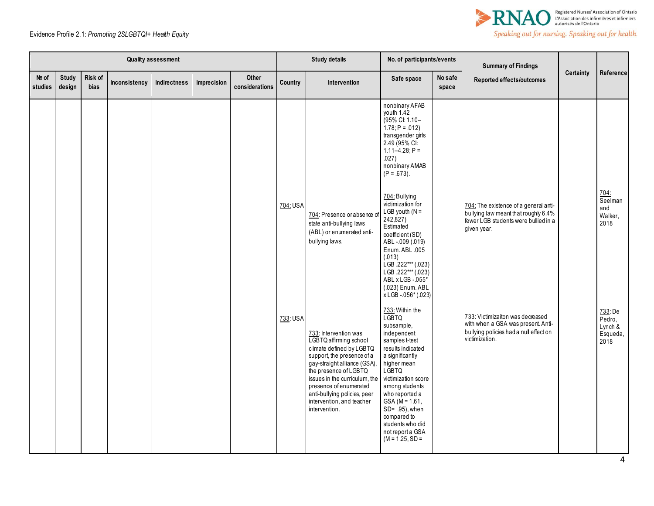

|                  |                 |                 |               | <b>Quality assessment</b> |             |                         |          | <b>Study details</b>                                                                                                                                                                                                                                                                                        | No. of participants/events                                                                                                                                                                                                                                                                                                  |                  | <b>Summary of Findings</b>                                                                                                           |           |                                                     |
|------------------|-----------------|-----------------|---------------|---------------------------|-------------|-------------------------|----------|-------------------------------------------------------------------------------------------------------------------------------------------------------------------------------------------------------------------------------------------------------------------------------------------------------------|-----------------------------------------------------------------------------------------------------------------------------------------------------------------------------------------------------------------------------------------------------------------------------------------------------------------------------|------------------|--------------------------------------------------------------------------------------------------------------------------------------|-----------|-----------------------------------------------------|
| Nº of<br>studies | Study<br>design | Risk of<br>bias | Inconsistency | <b>Indirectness</b>       | Imprecision | Other<br>considerations | Country  | Intervention                                                                                                                                                                                                                                                                                                | Safe space                                                                                                                                                                                                                                                                                                                  | No safe<br>space | Reported effects/outcomes                                                                                                            | Certainty | Reference                                           |
|                  |                 |                 |               |                           |             |                         |          |                                                                                                                                                                                                                                                                                                             | nonbinary AFAB<br>youth 1.42<br>(95% CI: 1.10-<br>$1.78; P = .012$<br>transgender girls<br>2.49 (95% CI:<br>$1.11 - 4.28$ ; P =<br>.027)<br>nonbinary AMAB<br>$(P = .673)$ .                                                                                                                                                |                  |                                                                                                                                      |           |                                                     |
|                  |                 |                 |               |                           |             |                         | 704: USA | 704: Presence or absence o<br>state anti-bullying laws<br>(ABL) or enumerated anti-<br>bullying laws.                                                                                                                                                                                                       | 704: Bullying<br>victimization for<br>LGB youth $(N =$<br>242,827)<br>Estimated<br>coefficient (SD)<br>ABL-009 (.019)<br>Enum. ABL .005<br>(.013)<br>LGB .222*** (.023)<br>LGB .222*** (.023)<br>ABL x LGB - 055*<br>(.023) Enum. ABL<br>x LGB - 056* (.023)                                                                |                  | 704: The existence of a general anti-<br>bullying law meant that roughly 6.4%<br>fewer LGB students were bullied in a<br>given year. |           | 704<br>Seelman<br>and<br>Walker,<br>2018            |
|                  |                 |                 |               |                           |             |                         | 733: USA | 733: Intervention was<br>LGBTQ affirming school<br>climate defined by LGBTQ<br>support, the presence of a<br>gay-straight alliance (GSA),<br>the presence of LGBTQ<br>issues in the curriculum, the<br>presence of enumerated<br>anti-bullying policies, peer<br>intervention, and teacher<br>intervention. | 733: Within the<br><b>LGBTQ</b><br>subsample.<br>independent<br>samples t-test<br>results indicated<br>a significantly<br>higher mean<br>LGBTQ<br>victimization score<br>among students<br>who reported a<br>$GSA (M = 1.61,$<br>SD= .95), when<br>compared to<br>students who did<br>not report a GSA<br>$(M = 1.25, SD =$ |                  | 733: Victimizaiton was decreased<br>with when a GSA was present. Anti-<br>bullying policies had a null effect on<br>victimization.   |           | 733: De<br>$Pedro$ ,<br>Lynch &<br>Esqueda,<br>2018 |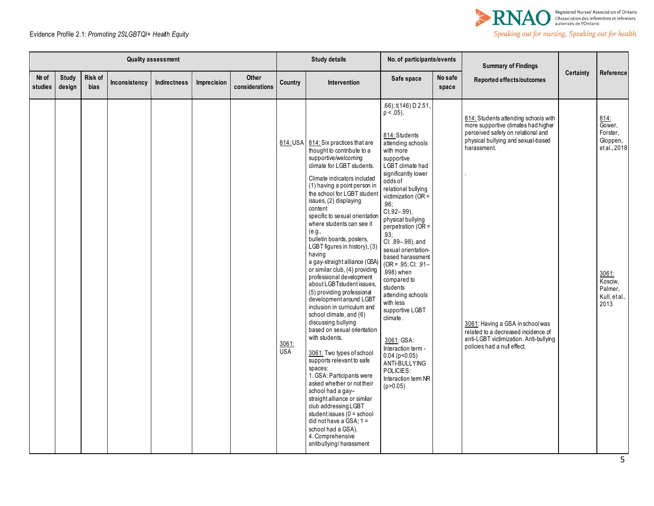

|                  |                        |                 |               | <b>Quality assessment</b> |             |                                |                                 | <b>Study details</b>                                                                                                                                                                                                                                                                                                                                                                                                                                                                                                                                                                                                                                                                                                                                                                                                                                                                                                                                                                                                                                                     | No. of participants/events                                                                                                                                                                                                                                                                                                                                                                                                                                                                                                                                                                                                 |                  | <b>Summary of Findings</b>                                                                                                                                                                                                                                                                                                 |                  |                                                                                                                |
|------------------|------------------------|-----------------|---------------|---------------------------|-------------|--------------------------------|---------------------------------|--------------------------------------------------------------------------------------------------------------------------------------------------------------------------------------------------------------------------------------------------------------------------------------------------------------------------------------------------------------------------------------------------------------------------------------------------------------------------------------------------------------------------------------------------------------------------------------------------------------------------------------------------------------------------------------------------------------------------------------------------------------------------------------------------------------------------------------------------------------------------------------------------------------------------------------------------------------------------------------------------------------------------------------------------------------------------|----------------------------------------------------------------------------------------------------------------------------------------------------------------------------------------------------------------------------------------------------------------------------------------------------------------------------------------------------------------------------------------------------------------------------------------------------------------------------------------------------------------------------------------------------------------------------------------------------------------------------|------------------|----------------------------------------------------------------------------------------------------------------------------------------------------------------------------------------------------------------------------------------------------------------------------------------------------------------------------|------------------|----------------------------------------------------------------------------------------------------------------|
| Nº of<br>studies | <b>Study</b><br>design | Risk of<br>bias | Inconsistency | Indirectness              | Imprecision | <b>Other</b><br>considerations | Country                         | Intervention                                                                                                                                                                                                                                                                                                                                                                                                                                                                                                                                                                                                                                                                                                                                                                                                                                                                                                                                                                                                                                                             | Safe space                                                                                                                                                                                                                                                                                                                                                                                                                                                                                                                                                                                                                 | No safe<br>space | <b>Reported effects/outcomes</b>                                                                                                                                                                                                                                                                                           | <b>Certainty</b> | Reference                                                                                                      |
|                  |                        |                 |               |                           |             |                                | 814: USA<br>3061:<br><b>USA</b> | 814: Six practices that are<br>thought to contribute to a<br>supportive/welcoming<br>climate for LGBT students.<br>Climate indicators included<br>(1) having a point person in<br>the school for LGBT student<br>issues, (2) displaying<br>content<br>specific to sexual orientation<br>where students can see it<br>(e.g.,<br>bulletin boards, posters,<br>LGBT figures in history), (3)<br>having<br>a gay-straight alliance (GSA<br>or similar club, (4) providing<br>professional development<br>about LGBTstudent issues,<br>(5) providing professional<br>development around LGBT<br>inclusion in curriculum and<br>school climate, and (6)<br>discussing bullying<br>based on sexual orientation<br>with students.<br>3061: Two types of school<br>supports relevant to safe<br>spaces:<br>1. GSA: Participants were<br>asked whether or not their<br>school had a gay-<br>straight alliance or similar<br>club addressing LGBT<br>student issues $(0 = school$<br>did not have a GSA; $1 =$<br>school had a GSA).<br>4. Comprehensive<br>antibullying/harassment | .66); t(146) D 2.51,<br>$p < .05$ ).<br>814: Students<br>attending schools<br>with more<br>supportive<br>LGBT climate had<br>significantly lower<br>odds of<br>relational bullying<br>victimization (OR =<br>.96;<br>CI: 92-.99),<br>physical bullying<br>$perpetration (OR =$<br>.93;<br>Cl: .89-.98), and<br>sexual orientation-<br>based harassment<br>$(OR = .95; CI: .91 -$<br>.998) when<br>compared to<br>students<br>attending schools<br>with less<br>supportive LGBT<br>climate.<br>3061: GSA:<br>Interaction term -<br>$0.04$ ( $p < 0.05$ )<br>ANTI-BULLYING<br>POLICIES:<br>Interaction term NR<br>(p > 0.05) |                  | 814: Students attending schools with<br>more supportive climates had higher<br>perceived safety on relational and<br>physical bullying and sexual-based<br>harassment.<br>3061: Having a GSA in school was<br>related to a decreased incidence of<br>anti-LGBT victimization. Anti-bullying<br>policies had a null effect. |                  | 814.<br>Gower.<br>Forster,<br>Gloppen,<br>et al., 2018<br>3061:<br>Kosciw,<br>Palmer,<br>Kull, et al.,<br>2013 |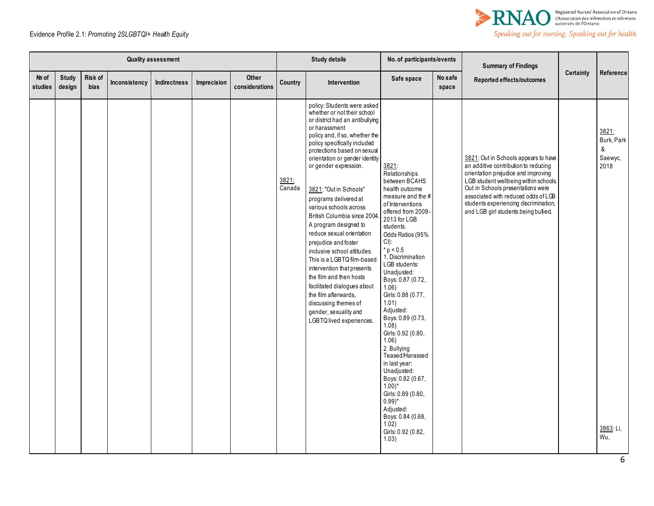

|                  |                        |                 |               | <b>Quality assessment</b> |             |                                |                 | <b>Study details</b>                                                                                                                                                                                                                                                                                                                                                                                                                                                                                                                                                                                                                                                                                                           | No. of participants/events                                                                                                                                                                                                                                                                                                                                                                                                                                                                                                                                                                                   |                  | <b>Summary of Findings</b>                                                                                                                                                                                                                                                                                                |           |                                                                 |
|------------------|------------------------|-----------------|---------------|---------------------------|-------------|--------------------------------|-----------------|--------------------------------------------------------------------------------------------------------------------------------------------------------------------------------------------------------------------------------------------------------------------------------------------------------------------------------------------------------------------------------------------------------------------------------------------------------------------------------------------------------------------------------------------------------------------------------------------------------------------------------------------------------------------------------------------------------------------------------|--------------------------------------------------------------------------------------------------------------------------------------------------------------------------------------------------------------------------------------------------------------------------------------------------------------------------------------------------------------------------------------------------------------------------------------------------------------------------------------------------------------------------------------------------------------------------------------------------------------|------------------|---------------------------------------------------------------------------------------------------------------------------------------------------------------------------------------------------------------------------------------------------------------------------------------------------------------------------|-----------|-----------------------------------------------------------------|
| Nº of<br>studies | <b>Study</b><br>design | Risk of<br>bias | Inconsistency | Indirectness              | Imprecision | <b>Other</b><br>considerations | Country         | Intervention                                                                                                                                                                                                                                                                                                                                                                                                                                                                                                                                                                                                                                                                                                                   | Safe space                                                                                                                                                                                                                                                                                                                                                                                                                                                                                                                                                                                                   | No safe<br>space | Reported effects/outcomes                                                                                                                                                                                                                                                                                                 | Certainty | Reference                                                       |
|                  |                        |                 |               |                           |             |                                | 3821:<br>Canada | policy: Students were asked<br>whether or not their school<br>or district had an antibullying<br>or harassment<br>policy and, if so, whether the<br>policy specifically included<br>protections based on sexual<br>orientation or gender identity<br>or gender expression.<br>3821: "Out in Schools"<br>programs delivered at<br>various schools across<br>British Columbia since 2004<br>A program designed to<br>reduce sexual orientation<br>prejudice and foster<br>inclusive school attitudes.<br>This is a LGBTQ film-based<br>intervention that presents<br>the film and then hosts<br>facilitated dialogues about<br>the film afterwards,<br>discussing themes of<br>gender, sexuality and<br>LGBTQ lived experiences. | 3821:<br>Relationships<br>between BCAHS<br>health outcome<br>measure and the #<br>of Interventions<br>offered from 2009-<br>2013 for LGB<br>students.<br>Odds Ratios (95%<br>CI):<br>$* p < 0.5$<br>1. Discrimination<br>LGB students:<br>Unadjusted:<br>Boys: 0.87 (0.72,<br>1.06)<br>Girls: 0.88 (0.77,<br>1.01<br>Adjusted:<br>Boys: 0.89 (0.73,<br>1.08<br>Girls: 0.92 (0.80,<br>1.06)<br>2. Bullying<br>Teased/Harassed<br>in last year:<br>Unadjusted:<br>Boys: 0.82 (0.67,<br>$(1.00)^*$<br>Girls: 0.89 (0.80,<br>$0.99)$ *<br>Adjusted:<br>Boys: 0.84 (0.68,<br>1.02)<br>Girls: 0.92 (0.82,<br>1.03) |                  | 3821: Out in Schools appears to have<br>an additive contribution to reducing<br>orientation prejudice and improving<br>LGB student wellbeing within schools.<br>Out in Schools presentations were<br>associated with reduced odds of LGB<br>students experiencing discrimination,<br>and LGB girl students being bullied. |           | 3821:<br>Burk, Park<br>&<br>Saewyc,<br>2018<br>3863: Li,<br>Wu, |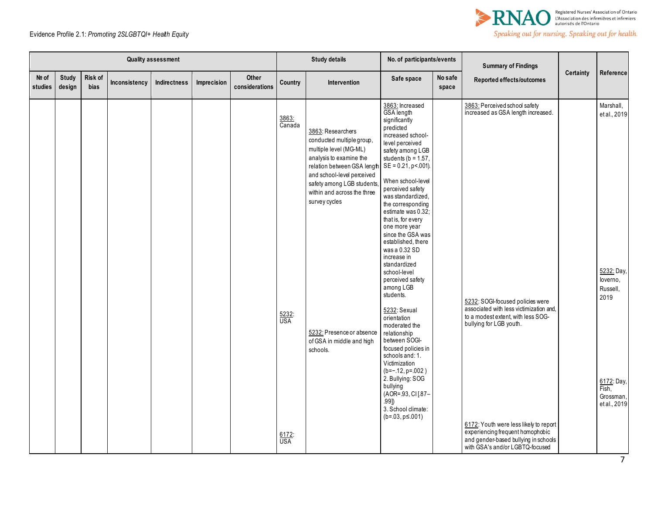



|                  |                        |                 |               | <b>Quality assessment</b> |             |                         |                                     | <b>Study details</b>                                                                                                                                                                                                                                                                                                | No. of participants/events                                                                                                                                                                                                                                                                                                                                                                                                                                                                                                                                                                                                                                                                                                                                                |                  | <b>Summary of Findings</b>                                                                                                                                                                                                                                    |                  |                                                                                                                            |
|------------------|------------------------|-----------------|---------------|---------------------------|-------------|-------------------------|-------------------------------------|---------------------------------------------------------------------------------------------------------------------------------------------------------------------------------------------------------------------------------------------------------------------------------------------------------------------|---------------------------------------------------------------------------------------------------------------------------------------------------------------------------------------------------------------------------------------------------------------------------------------------------------------------------------------------------------------------------------------------------------------------------------------------------------------------------------------------------------------------------------------------------------------------------------------------------------------------------------------------------------------------------------------------------------------------------------------------------------------------------|------------------|---------------------------------------------------------------------------------------------------------------------------------------------------------------------------------------------------------------------------------------------------------------|------------------|----------------------------------------------------------------------------------------------------------------------------|
| Nº of<br>studies | <b>Study</b><br>design | Risk of<br>bias | Inconsistency | Indirectness              | Imprecision | Other<br>considerations | Country                             | Intervention                                                                                                                                                                                                                                                                                                        | Safe space                                                                                                                                                                                                                                                                                                                                                                                                                                                                                                                                                                                                                                                                                                                                                                | No safe<br>space | Reported effects/outcomes                                                                                                                                                                                                                                     | <b>Certainty</b> | Reference                                                                                                                  |
|                  |                        |                 |               |                           |             |                         | 3863:<br>Canada<br>$rac{5232}{USA}$ | 3863: Researchers<br>conducted multiple group,<br>multiple level (MG-ML)<br>analysis to examine the<br>relation between GSA length<br>and school-level perceived<br>safety among LGB students<br>within and across the three<br>survey cycles<br>5232: Presence or absence<br>of GSA in middle and high<br>schools. | 3863: Increased<br>GSA length<br>significantly<br>predicted<br>increased school-<br>level perceived<br>safety among LGB<br>students ( $b = 1.57$ ,<br>$SE = 0.21$ , $p < .001$ ).<br>When school-level<br>perceived safety<br>was standardized,<br>the corresponding<br>estimate was 0.32;<br>that is, for every<br>one more year<br>since the GSA was<br>established, there<br>was a 0.32 SD<br>increase in<br>standardized<br>school-level<br>perceived safety<br>among LGB<br>students.<br>5232: Sexual<br>orientation<br>moderated the<br>relationship<br>between SOGI-<br>focused policies in<br>schools and: 1.<br>Victimization<br>$(b=-.12, p=.002)$<br>2. Bullying: SOG<br>bullying<br>(AOR=.93, CI[.87-<br>$.99$ ])<br>3. School climate:<br>$(b=03, p\le 001)$ |                  | 3863: Perceived school safety<br>increased as GSA length increased.<br>5232: SOGI-focused policies were<br>associated with less victimization and,<br>to a modest extent, with less SOG-<br>bullying for LGB youth.<br>6172: Youth were less likely to report |                  | Marshall,<br>et al., 2019<br>5232: Day<br>loverno,<br>Russell,<br>2019<br>6172: Day,<br>Fish,<br>Grossman,<br>et al., 2019 |
|                  |                        |                 |               |                           |             |                         | $rac{6172}{USA}$                    |                                                                                                                                                                                                                                                                                                                     |                                                                                                                                                                                                                                                                                                                                                                                                                                                                                                                                                                                                                                                                                                                                                                           |                  | experiencing frequent homophobic<br>and gender-based bullying in schools<br>with GSA's and/or LGBTQ-focused                                                                                                                                                   |                  |                                                                                                                            |

7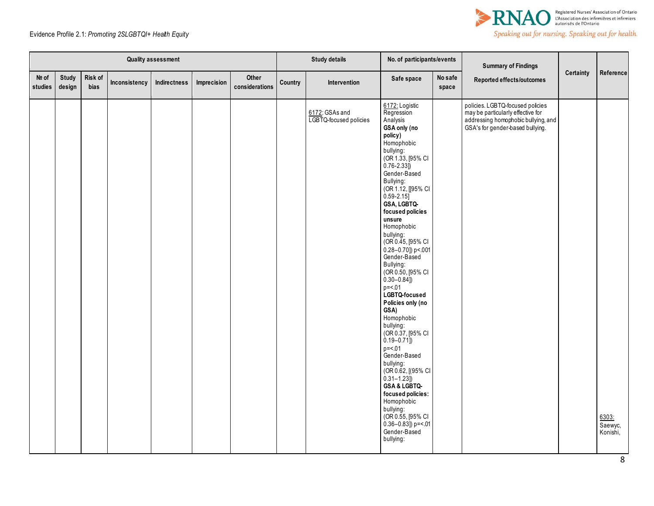

|                  |                        |                 |               | <b>Quality assessment</b> |             |                         |         | <b>Study details</b>                     | No. of participants/events                                                                                                                                                                                                                                                                                                                                                                                                                                                                                                                                                                                                                                                                                                                                               |                  | <b>Summary of Findings</b>                                                                                                                       |           |                              |
|------------------|------------------------|-----------------|---------------|---------------------------|-------------|-------------------------|---------|------------------------------------------|--------------------------------------------------------------------------------------------------------------------------------------------------------------------------------------------------------------------------------------------------------------------------------------------------------------------------------------------------------------------------------------------------------------------------------------------------------------------------------------------------------------------------------------------------------------------------------------------------------------------------------------------------------------------------------------------------------------------------------------------------------------------------|------------------|--------------------------------------------------------------------------------------------------------------------------------------------------|-----------|------------------------------|
| Nº of<br>studies | <b>Study</b><br>design | Risk of<br>bias | Inconsistency | Indirectness              | Imprecision | Other<br>considerations | Country | Intervention                             | Safe space                                                                                                                                                                                                                                                                                                                                                                                                                                                                                                                                                                                                                                                                                                                                                               | No safe<br>space | Reported effects/outcomes                                                                                                                        | Certainty | Reference                    |
|                  |                        |                 |               |                           |             |                         |         | 6172: GSAs and<br>LGBTQ-focused policies | 6172: Logistic<br>Regression<br>Analysis<br>GSA only (no<br>policy)<br>Homophobic<br>bullying:<br>(OR 1.33, [95% CI<br>$0.76 - 2.33$ ]<br>Gender-Based<br>Bullying:<br>(OR 1.12, [[95% CI<br>$0.59 - 2.15$ ]<br>GSA, LGBTQ-<br>focused policies<br>unsure<br>Homophobic<br>bullying:<br>(OR 0.45, [95% CI<br>$0.28 - 0.70$ ]) p < 001<br>Gender-Based<br>Bullying:<br>(OR 0.50, [95% CI<br>$0.30 - 0.84$ ])<br>$p = 0.01$<br>LGBTQ-focused<br>Policies only (no<br>GSA)<br>Homophobic<br>bullying:<br>(OR 0.37, [95% CI<br>$0.19 - 0.71$ ]<br>$p = 01$<br>Gender-Based<br>bullying:<br>(OR 0.62, [(95% CI<br>$0.31 - 1.23$<br>GSA & LGBTQ-<br>focused policies:<br>Homophobic<br>bullying:<br>(OR 0.55, [95% CI<br>$0.36 - 0.83$ ]) p= < 01<br>Gender-Based<br>bullying: |                  | policies. LGBTQ-focused policies<br>may be particularly effective for<br>addressing homophobic bullying, and<br>GSA's for gender-based bullying. |           | 6303:<br>Saewyc,<br>Konishi, |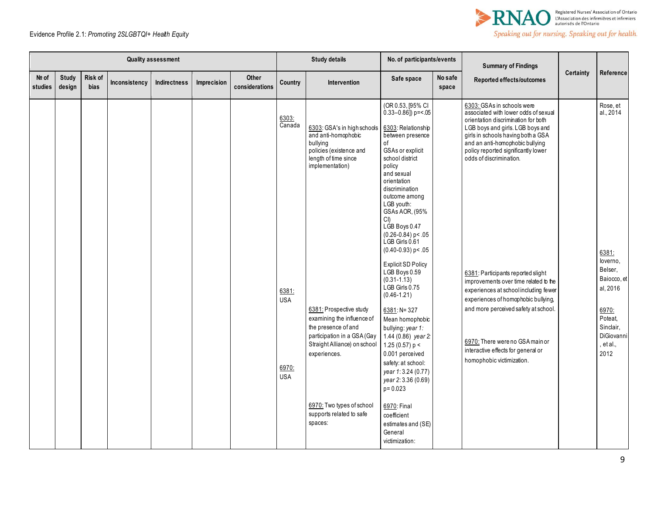



| Risk of<br><b>Study</b><br>Other<br>No safe<br>Nº of<br>Safe space<br>Indirectness<br>Country<br>Intervention<br>Inconsistency<br>Imprecision<br>considerations<br>design<br>bias<br>studies<br>space                                                                                                                                                                                                                                                                                                                                                                                                                                                                                                                                                                                                                                                                                                                                                                                                                                                                                                                                                                                    | Reported effects/outcomes                                                                                                                                                                                                                                                                                                                                                                                                                                                                                                                                                                             | Certainty | Reference                                                                                                                                            |
|------------------------------------------------------------------------------------------------------------------------------------------------------------------------------------------------------------------------------------------------------------------------------------------------------------------------------------------------------------------------------------------------------------------------------------------------------------------------------------------------------------------------------------------------------------------------------------------------------------------------------------------------------------------------------------------------------------------------------------------------------------------------------------------------------------------------------------------------------------------------------------------------------------------------------------------------------------------------------------------------------------------------------------------------------------------------------------------------------------------------------------------------------------------------------------------|-------------------------------------------------------------------------------------------------------------------------------------------------------------------------------------------------------------------------------------------------------------------------------------------------------------------------------------------------------------------------------------------------------------------------------------------------------------------------------------------------------------------------------------------------------------------------------------------------------|-----------|------------------------------------------------------------------------------------------------------------------------------------------------------|
| (OR 0.53, [95% CI<br>$0.33 - 0.86$ ]) p= <.05<br>6303:<br>Canada<br>6303: GSA's in high schools<br>6303: Relationship<br>and anti-homophobic<br>between presence<br>bullying<br>of<br>policies (existence and<br>GSAs or explicit<br>length of time since<br>school district<br>implementation)<br>policy<br>and sexual<br>orientation<br>discrimination<br>outcome among<br>LGB youth:<br>GSAs AOR, (95%<br>CI<br>LGB Boys 0.47<br>$(0.26 - 0.84)$ p < .05<br>LGB Girls 0.61<br>$(0.40 - 0.93)$ p < .05<br><b>Explicit SD Policy</b><br>LGB Boys 0.59<br>$(0.31 - 1.13)$<br>LGB Girls 0.75<br>6381:<br>$(0.46 - 1.21)$<br><b>USA</b><br>6381: Prospective study<br>6381: N= 327<br>examining the influence of<br>Mean homophobic<br>the presence of and<br>bullying: year 1:<br>participation in a GSA (Gay<br>1.44 (0.86) year 2:<br>Straight Alliance) on school<br>1.25 (0.57) $p <$<br>0.001 perceived<br>experiences.<br>safety: at school:<br>6970:<br>year 1:3.24 (0.77)<br><b>USA</b><br>year 2:3.36 (0.69)<br>$p = 0.023$<br>6970: Two types of school<br>6970: Final<br>supports related to safe<br>coefficient<br>spaces:<br>estimates and (SE)<br>General<br>victimization: | 6303: GSAs in schools were<br>associated with lower odds of sexual<br>orientation discrimination for both<br>LGB boys and girls. LGB boys and<br>girls in schools having both a GSA<br>and an anti-homophobic bullying<br>policy reported significantly lower<br>odds of discrimination.<br>6381: Participants reported slight<br>improvements over time related to the<br>experiences at school including fewer<br>experiences of homophobic bullying,<br>and more perceived safety at school.<br>6970: There were no GSA main or<br>interactive effects for general or<br>homophobic victimization. |           | Rose, et<br>al., 2014<br>6381:<br>loverno,<br>Belser,<br>Baiocco, et<br>al, 2016<br>6970:<br>Poteat.<br>Sinclair,<br>DiGiovanni<br>, et al.,<br>2012 |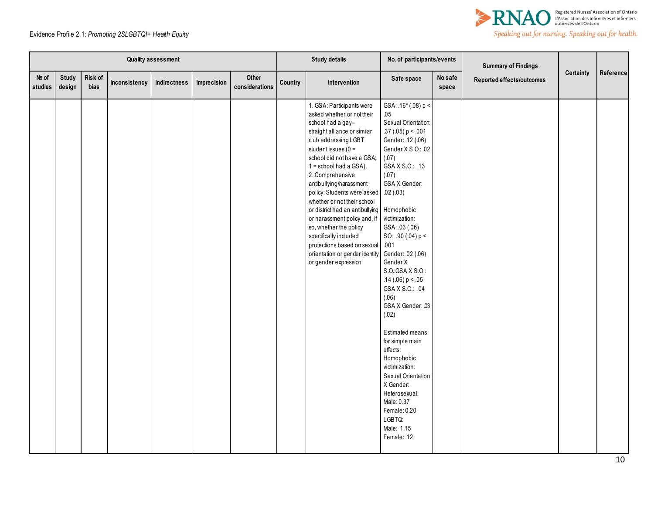

|                 |                        |                 |               | <b>Quality assessment</b> |             |                         |         | <b>Study details</b>                                                                                                                                                                                                                                                                                                                                                                                                                                                                                                                               | No. of participants/events                                                                                                                                                                                                                                                                                                                                                                                                                                                                                                                                                                                          |                  | <b>Summary of Findings</b> |           |           |
|-----------------|------------------------|-----------------|---------------|---------------------------|-------------|-------------------------|---------|----------------------------------------------------------------------------------------------------------------------------------------------------------------------------------------------------------------------------------------------------------------------------------------------------------------------------------------------------------------------------------------------------------------------------------------------------------------------------------------------------------------------------------------------------|---------------------------------------------------------------------------------------------------------------------------------------------------------------------------------------------------------------------------------------------------------------------------------------------------------------------------------------------------------------------------------------------------------------------------------------------------------------------------------------------------------------------------------------------------------------------------------------------------------------------|------------------|----------------------------|-----------|-----------|
| № of<br>studies | <b>Study</b><br>design | Risk of<br>bias | Inconsistency | Indirectness              | Imprecision | Other<br>considerations | Country | Intervention                                                                                                                                                                                                                                                                                                                                                                                                                                                                                                                                       | Safe space                                                                                                                                                                                                                                                                                                                                                                                                                                                                                                                                                                                                          | No safe<br>space | Reported effects/outcomes  | Certainty | Reference |
|                 |                        |                 |               |                           |             |                         |         | 1. GSA: Participants were<br>asked whether or not their<br>school had a gay-<br>straight alliance or similar<br>club addressing LGBT<br>student issues ( $0 =$<br>school did not have a GSA;<br>1 = school had a GSA).<br>2. Comprehensive<br>antibullying/harassment<br>policy: Students were asked<br>whether or not their school<br>or district had an antibullying<br>or harassment policy and, if<br>so, whether the policy<br>specifically included<br>protections based on sexual<br>orientation or gender identity<br>or gender expression | $GSA: .16*(.08) p <$<br>.05<br>Sexual Orientation:<br>.37 (.05) $p < 001$<br>Gender: .12 (.06)<br>Gender X S.O.: .02<br>(.07)<br>GSA X S.O.: .13<br>(.07)<br>GSA X Gender:<br>.02(.03)<br>Homophobic<br>victimization:<br>GSA: .03 (.06)<br>SO: $.90(.04) p <$<br>.001<br>Gender: .02 (.06)<br>Gender X<br>S.O.: GSA X S.O.:<br>.14(.06) p < .05<br>GSAX S.O.: .04<br>(.06)<br>GSA X Gender: 03<br>(.02)<br>Estimated means<br>for simple main<br>effects:<br>Homophobic<br>victimization:<br>Sexual Orientation<br>X Gender:<br>Heterosexual:<br>Male: 0.37<br>Female: 0.20<br>LGBTQ:<br>Male: 1.15<br>Female: .12 |                  |                            |           |           |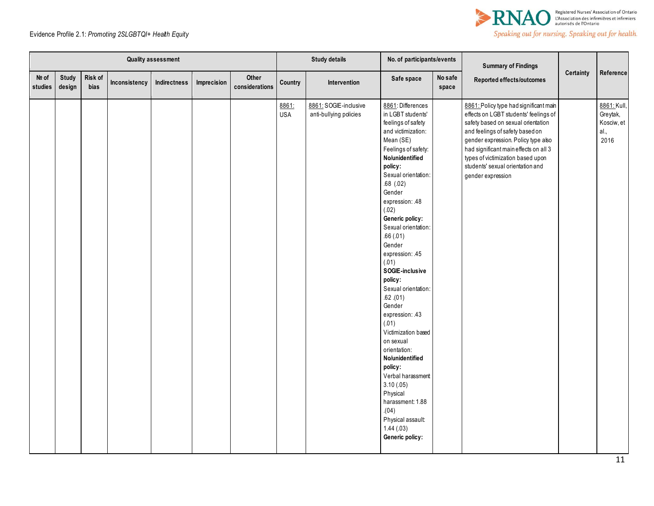

|                  |                 |                 |               | <b>Quality assessment</b> |             |                         |                     | <b>Study details</b>                            | No. of participants/events                                                                                                                                                                                                                                                                                                                                                                                                                                                                                                                                                                                                                                 |                  | <b>Summary of Findings</b>                                                                                                                                                                                                                                                                                                             |           |                                                       |
|------------------|-----------------|-----------------|---------------|---------------------------|-------------|-------------------------|---------------------|-------------------------------------------------|------------------------------------------------------------------------------------------------------------------------------------------------------------------------------------------------------------------------------------------------------------------------------------------------------------------------------------------------------------------------------------------------------------------------------------------------------------------------------------------------------------------------------------------------------------------------------------------------------------------------------------------------------------|------------------|----------------------------------------------------------------------------------------------------------------------------------------------------------------------------------------------------------------------------------------------------------------------------------------------------------------------------------------|-----------|-------------------------------------------------------|
| Nº of<br>studies | Study<br>design | Risk of<br>bias | Inconsistency | Indirectness              | Imprecision | Other<br>considerations | Country             | Intervention                                    | Safe space                                                                                                                                                                                                                                                                                                                                                                                                                                                                                                                                                                                                                                                 | No safe<br>space | Reported effects/outcomes                                                                                                                                                                                                                                                                                                              | Certainty | Reference                                             |
|                  |                 |                 |               |                           |             |                         | 8861:<br><b>USA</b> | 8861: SOGIE-inclusive<br>anti-bullying policies | 8861: Differences<br>in LGBT students'<br>feelings of safety<br>and victimization:<br>Mean (SE)<br>Feelings of safety:<br>No/unidentified<br>policy:<br>Sexual orientation:<br>$.68$ $(.02)$<br>Gender<br>expression: .48<br>(.02)<br>Generic policy:<br>Sexual orientation:<br>.66(.01)<br>Gender<br>expression: 45<br>(.01)<br>SOGIE-inclusive<br>policy:<br>Sexual orientation:<br>$.62$ . $(01)$<br>Gender<br>expression: 43<br>(.01)<br>Victimization based<br>on sexual<br>orientation:<br>No/unidentified<br>policy:<br>Verbal harassment<br>3.10(0.05)<br>Physical<br>harassment: 1.88<br>(04)<br>Physical assault:<br>1.44(03)<br>Generic policy: |                  | 8861: Policy type had significant main<br>effects on LGBT students' feelings of<br>safety based on sexual orientation<br>and feelings of safety based on<br>gender expression. Policy type also<br>had significant main effects on all 3<br>types of victimization based upon<br>students' sexual orientation and<br>gender expression |           | 8861: Kull,<br>Greytak,<br>Kosciw, et<br>al.,<br>2016 |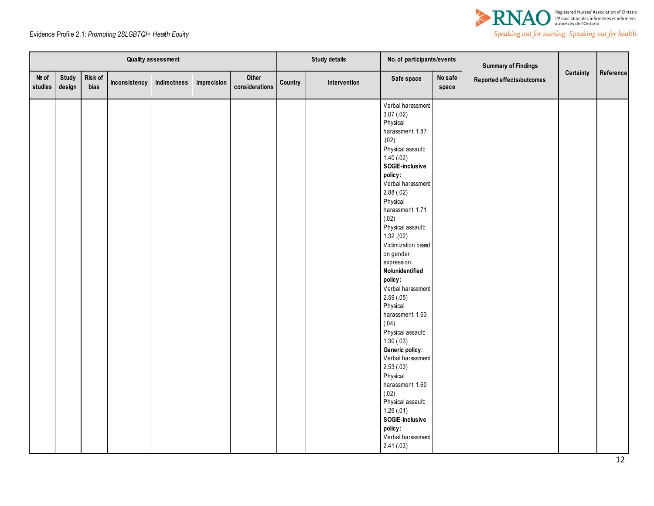

|                  |                 |                 |               | <b>Quality assessment</b> |             |                         |         | <b>Study details</b> | No. of participants/events                                                                                                                                                                                                                                                                                                                                                                                                                                                                                                                                                                                                                         |                  | <b>Summary of Findings</b> |           |           |
|------------------|-----------------|-----------------|---------------|---------------------------|-------------|-------------------------|---------|----------------------|----------------------------------------------------------------------------------------------------------------------------------------------------------------------------------------------------------------------------------------------------------------------------------------------------------------------------------------------------------------------------------------------------------------------------------------------------------------------------------------------------------------------------------------------------------------------------------------------------------------------------------------------------|------------------|----------------------------|-----------|-----------|
| Nº of<br>studies | Study<br>design | Risk of<br>bias | Inconsistency | Indirectness              | Imprecision | Other<br>considerations | Country | Intervention         | Safe space                                                                                                                                                                                                                                                                                                                                                                                                                                                                                                                                                                                                                                         | No safe<br>space | Reported effects/outcomes  | Certainty | Reference |
|                  |                 |                 |               |                           |             |                         |         |                      | Verbal harassment<br>3.07(.02)<br>Physical<br>harassment: 1.87<br>(02)<br>Physical assault:<br>1.40(.02)<br>SOGIE-inclusive<br>policy:<br>Verbal harassment<br>2.88(.02)<br>Physical<br>harassment: 1.71<br>(.02)<br>Physical assault:<br>1.32(02)<br>Victimization based<br>on gender<br>expression:<br>No/unidentified<br>policy:<br>Verbal harassment<br>2.59(.05)<br>Physical<br>harassment: 1.63<br>(.04)<br>Physical assault:<br>1.30(0.03)<br>Generic policy:<br>Verbal harassment<br>2.53(0.03)<br>Physical<br>harassment: 1.60<br>(.02)<br>Physical assault:<br>1.26(.01)<br>SOGIE-inclusive<br>policy:<br>Verbal harassment<br>2.41(.03) |                  |                            |           |           |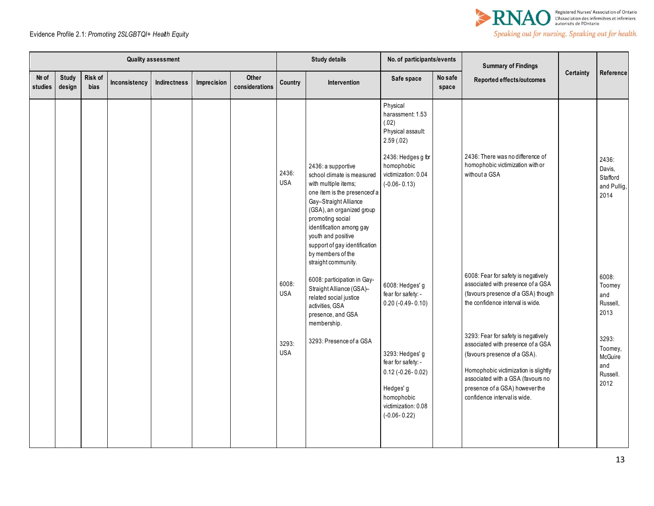

| <b>Quality assessment</b> |                        |                        |               |              |             |                         | <b>Study details</b>                       |                                                                                                                                                                                                                                                                                                                    | No. of participants/events                                                                                                                             |                  | <b>Summary of Findings</b>                                                                                                                                                                                                                                     |           |                                                                           |
|---------------------------|------------------------|------------------------|---------------|--------------|-------------|-------------------------|--------------------------------------------|--------------------------------------------------------------------------------------------------------------------------------------------------------------------------------------------------------------------------------------------------------------------------------------------------------------------|--------------------------------------------------------------------------------------------------------------------------------------------------------|------------------|----------------------------------------------------------------------------------------------------------------------------------------------------------------------------------------------------------------------------------------------------------------|-----------|---------------------------------------------------------------------------|
| Nº of<br>studies          | <b>Study</b><br>design | Risk of<br><b>bias</b> | Inconsistency | Indirectness | Imprecision | Other<br>considerations | <b>Country</b>                             | Intervention                                                                                                                                                                                                                                                                                                       | Safe space                                                                                                                                             | No safe<br>space | Reported effects/outcomes                                                                                                                                                                                                                                      | Certainty | Reference                                                                 |
|                           |                        |                        |               |              |             |                         | 2436:<br><b>USA</b>                        | 2436: a supportive<br>school climate is measured<br>with multiple items;<br>one item is the presence of a<br>Gay-Straight Alliance<br>(GSA), an organized group<br>promoting social<br>identification among gay<br>youth and positive<br>support of gay identification<br>by members of the<br>straight community. | Physical<br>harassment: 1.53<br>(.02)<br>Physical assault:<br>2.59(.02)<br>2436: Hedges g for<br>homophobic<br>victimization: 0.04<br>$(-0.06 - 0.13)$ |                  | 2436: There was no difference of<br>homophobic victimization with or<br>without a GSA                                                                                                                                                                          |           | 2436:<br>Davis,<br>Stafford<br>and Pullig,<br>2014                        |
|                           |                        |                        |               |              |             |                         | 6008:<br><b>USA</b><br>3293:<br><b>USA</b> | 6008: participation in Gay-<br>Straight Alliance (GSA)-<br>related social justice<br>activities, GSA<br>presence, and GSA<br>membership.<br>3293: Presence of a GSA                                                                                                                                                | 6008: Hedges' g<br>fear for safety: -<br>$0.20$ (-0.49-0.10)<br>3293: Hedges' g                                                                        |                  | 6008: Fear for safety is negatively<br>associated with presence of a GSA<br>(favours presence of a GSA) though<br>the confidence interval is wide.<br>3293: Fear for safety is negatively<br>associated with presence of a GSA<br>(favours presence of a GSA). |           | 6008:<br>Toomey<br>and<br>Russell,<br>2013<br>3293:<br>Toomey,<br>McGuire |
|                           |                        |                        |               |              |             |                         |                                            |                                                                                                                                                                                                                                                                                                                    | fear for safety: -<br>$0.12$ (-0.26-0.02)<br>Hedges' g<br>homophobic<br>victimization: 0.08<br>$(-0.06 - 0.22)$                                        |                  | Homophobic victimization is slightly<br>associated with a GSA (favours no<br>presence of a GSA) however the<br>confidence interval is wide.                                                                                                                    |           | and<br>Russell.<br>2012                                                   |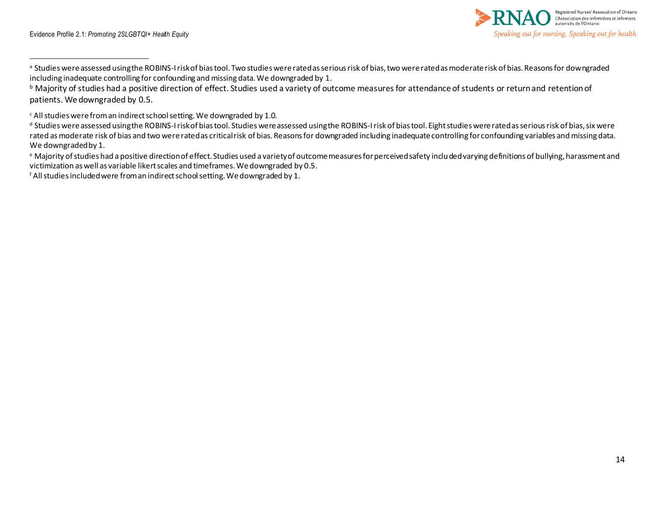

a Studies were assessed using the ROBINS-I risk of bias tool. Two studies were rated as serious risk of bias, two were rated as moderate risk of bias. Reasons for downgraded including inadequate controlling for confounding and missing data. We downgraded by 1.

<sup>f</sup> All studies included were from an indirect school setting. We downgraded by 1.

**b** Majority of studies had a positive direction of effect. Studies used a variety of outcome measures for attendance of students or return and retention of patients. We downgraded by 0.5.

<sup>c</sup> All studies were from an indirect school setting. We downgraded by 1.0.

d Studies were assessed using the ROBINS-I risk of bias tool. Studies were assessed using the ROBINS-I risk of bias tool. Eight studies were rated as serious risk of bias, six were rated as moderate risk of bias and two were rated as critical risk of bias. Reasons for downgraded including inadequate controlling for confounding variables and missing data. We downgraded by 1.

<sup>e</sup> Majority of studies had a positive direction of effect. Studies used a variety of outcome measures for perceived safety included varying definitions of bullying, harassment and victimization as well as variable likert scales and timeframes. We downgraded by 0.5.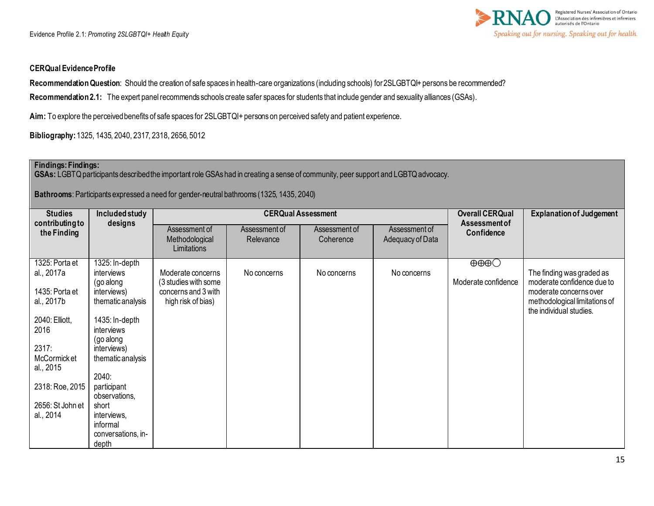

#### **CERQual Evidence Profile**

**Recommendation Question**: Should the creation of safe spaces in health-care organizations (including schools) for 2SLGBTQI+ persons be recommended? **Recommendation 2.1:** The expert panel recommends schools create safer spaces for students that include gender and sexuality alliances (GSAs).

**Aim:** To explore the perceived benefits of safe spaces for 2SLGBTQI+ persons on perceived safety and patient experience.

**Bibliography:** 1325, 1435, 2040, 2317, 2318, 2656, 5012

## **Findings: Findings:**

**GSAs:** LGBTQ participants described the important role GSAs had in creating a sense of community, peer support and LGBTQ advocacy.

**Bathrooms**: Participants expressed a need for gender-neutral bathrooms (1325, 1435, 2040)

| <b>Studies</b>                                                                                                                                                                   | <b>Included study</b>                                                                                                                                                                                                                                                             |                                                                                        | <b>CERQual Assessment</b>  | <b>Overall CERQual</b>     | <b>Explanation of Judgement</b>   |                                                        |                                                                                                                                               |  |  |
|----------------------------------------------------------------------------------------------------------------------------------------------------------------------------------|-----------------------------------------------------------------------------------------------------------------------------------------------------------------------------------------------------------------------------------------------------------------------------------|----------------------------------------------------------------------------------------|----------------------------|----------------------------|-----------------------------------|--------------------------------------------------------|-----------------------------------------------------------------------------------------------------------------------------------------------|--|--|
| contributing to<br>the Finding                                                                                                                                                   | designs                                                                                                                                                                                                                                                                           | Assessment of<br>Methodological<br>Limitations                                         | Assessment of<br>Relevance | Assessment of<br>Coherence | Assessment of<br>Adequacy of Data | Assessment of<br>Confidence                            |                                                                                                                                               |  |  |
| 1325: Porta et<br>al., 2017a<br>1435: Porta et<br>al., 2017b<br>2040: Elliott,<br>2016<br>2317:<br>McCormick et<br>al., 2015<br>2318: Roe, 2015<br>2656: St John et<br>al., 2014 | 1325: In-depth<br>interviews<br>(go along<br>interviews)<br>thematic analysis<br>1435: In-depth<br><i>interviews</i><br>(go along<br>interviews)<br>thematic analysis<br>2040:<br>participant<br>observations,<br>short<br>interviews,<br>informal<br>conversations, in-<br>depth | Moderate concerns<br>(3 studies with some<br>concerns and 3 with<br>high risk of bias) | No concerns                | No concerns                | No concerns                       | $\oplus \oplus \oplus \bigcirc$<br>Moderate confidence | The finding was graded as<br>moderate confidence due to<br>moderate concerns over<br>methodological limitations of<br>the individual studies. |  |  |